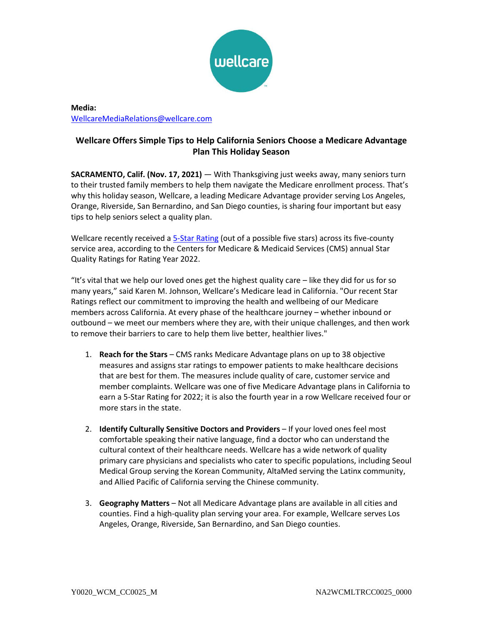

**Media:** [WellcareMediaRelations@wellcare.com](mailto:WellcareMediaRelations@wellcare.com)

# **Wellcare Offers Simple Tips to Help California Seniors Choose a Medicare Advantage Plan This Holiday Season**

**SACRAMENTO, Calif. (Nov. 17, 2021)** — With Thanksgiving just weeks away, many seniors turn to their trusted family members to help them navigate the Medicare enrollment process. That's why this holiday season, Wellcare, a leading Medicare Advantage provider serving Los Angeles, Orange, Riverside, San Bernardino, and San Diego counties, is sharing four important but easy tips to help seniors select a quality plan.

Wellcare recently received a [5-Star Rating](https://www.prnewswire.com/news-releases/wellcare-medicare-advantage-plan-in-california-earns-5-out-of-5-stars-in-annual-cms-star-quality-ratings-301406661.html) (out of a possible five stars) across its five-county service area, according to the Centers for Medicare & Medicaid Services (CMS) annual Star Quality Ratings for Rating Year 2022.

"It's vital that we help our loved ones get the highest quality care – like they did for us for so many years," said Karen M. Johnson, Wellcare's Medicare lead in California. "Our recent Star Ratings reflect our commitment to improving the health and wellbeing of our Medicare members across California. At every phase of the healthcare journey – whether inbound or outbound – we meet our members where they are, with their unique challenges, and then work to remove their barriers to care to help them live better, healthier lives."

- 1. **Reach for the Stars** CMS ranks Medicare Advantage plans on up to 38 objective measures and assigns star ratings to empower patients to make healthcare decisions that are best for them. The measures include quality of care, customer service and member complaints. Wellcare was one of five Medicare Advantage plans in California to earn a 5-Star Rating for 2022; it is also the fourth year in a row Wellcare received four or more stars in the state.
- 2. **Identify Culturally Sensitive Doctors and Providers** If your loved ones feel most comfortable speaking their native language, find a doctor who can understand the cultural context of their healthcare needs. Wellcare has a wide network of quality primary care physicians and specialists who cater to specific populations, including Seoul Medical Group serving the Korean Community, AltaMed serving the Latinx community, and Allied Pacific of California serving the Chinese community.
- 3. **Geography Matters** Not all Medicare Advantage plans are available in all cities and counties. Find a high-quality plan serving your area. For example, Wellcare serves Los Angeles, Orange, Riverside, San Bernardino, and San Diego counties.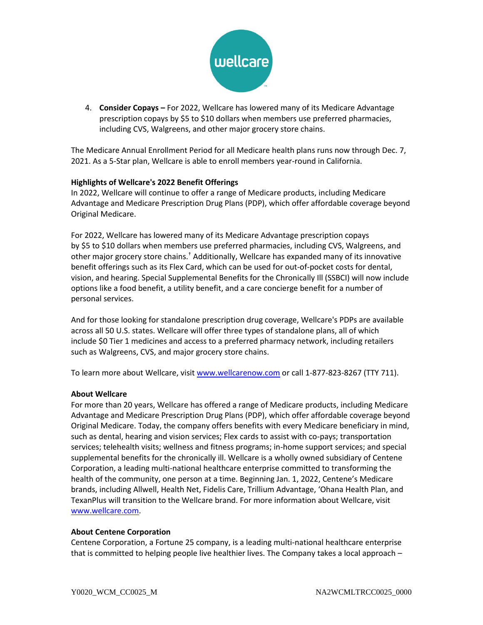

4. **Consider Copays –** For 2022, Wellcare has lowered many of its Medicare Advantage prescription copays by \$5 to \$10 dollars when members use preferred pharmacies, including CVS, Walgreens, and other major grocery store chains.

The Medicare Annual Enrollment Period for all Medicare health plans runs now through Dec. 7, 2021. As a 5-Star plan, Wellcare is able to enroll members year-round in California.

## **Highlights of Wellcare's 2022 Benefit Offerings**

In 2022, Wellcare will continue to offer a range of Medicare products, including Medicare Advantage and Medicare Prescription Drug Plans (PDP), which offer affordable coverage beyond Original Medicare.

For 2022, Wellcare has lowered many of its Medicare Advantage prescription copays by \$5 to \$10 dollars when members use preferred pharmacies, including CVS, Walgreens, and other major grocery store chains.† Additionally, Wellcare has expanded many of its innovative benefit offerings such as its Flex Card, which can be used for out-of-pocket costs for dental, vision, and hearing. Special Supplemental Benefits for the Chronically Ill (SSBCI) will now include options like a food benefit, a utility benefit, and a care concierge benefit for a number of personal services.

And for those looking for standalone prescription drug coverage, Wellcare's PDPs are available across all 50 U.S. states. Wellcare will offer three types of standalone plans, all of which include \$0 Tier 1 medicines and access to a preferred pharmacy network, including retailers such as Walgreens, CVS, and major grocery store chains.

To learn more about Wellcare, visi[t www.wellcarenow.com](http://www.wellcarenow.com/) or call 1-877-823-8267 (TTY 711).

## **About Wellcare**

For more than 20 years, Wellcare has offered a range of Medicare products, including Medicare Advantage and Medicare Prescription Drug Plans (PDP), which offer affordable coverage beyond Original Medicare. Today, the company offers benefits with every Medicare beneficiary in mind, such as dental, hearing and vision services; Flex cards to assist with co-pays; transportation services; telehealth visits; wellness and fitness programs; in-home support services; and special supplemental benefits for the chronically ill. Wellcare is a wholly owned subsidiary of Centene Corporation, a leading multi-national healthcare enterprise committed to transforming the health of the community, one person at a time. Beginning Jan. 1, 2022, Centene's Medicare brands, including Allwell, Health Net, Fidelis Care, Trillium Advantage, 'Ohana Health Plan, and TexanPlus will transition to the Wellcare brand. For more information about Wellcare, visit [www.wellcare.com.](http://www.wellcare.com/)

## **About Centene Corporation**

Centene Corporation, a Fortune 25 company, is a leading multi-national healthcare enterprise that is committed to helping people live healthier lives. The Company takes a local approach –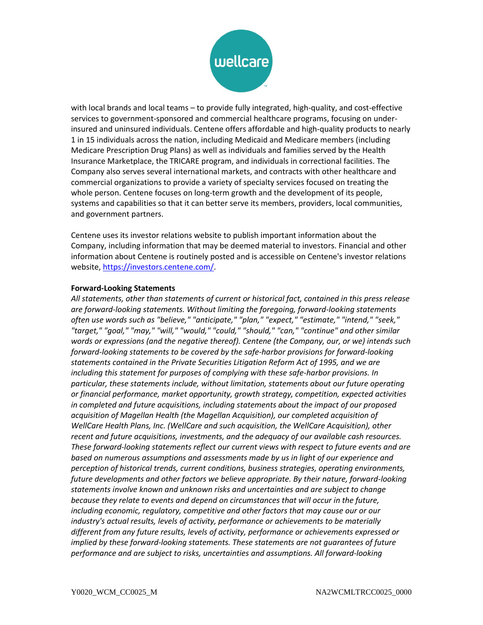

with local brands and local teams – to provide fully integrated, high-quality, and cost-effective services to government-sponsored and commercial healthcare programs, focusing on underinsured and uninsured individuals. Centene offers affordable and high-quality products to nearly 1 in 15 individuals across the nation, including Medicaid and Medicare members (including Medicare Prescription Drug Plans) as well as individuals and families served by the Health Insurance Marketplace, the TRICARE program, and individuals in correctional facilities. The Company also serves several international markets, and contracts with other healthcare and commercial organizations to provide a variety of specialty services focused on treating the whole person. Centene focuses on long-term growth and the development of its people, systems and capabilities so that it can better serve its members, providers, local communities, and government partners.

Centene uses its investor relations website to publish important information about the Company, including information that may be deemed material to investors. Financial and other information about Centene is routinely posted and is accessible on Centene's investor relations website, [https://investors.centene.com/.](https://investors.centene.com/)

## **Forward-Looking Statements**

*All statements, other than statements of current or historical fact, contained in this press release are forward-looking statements. Without limiting the foregoing, forward-looking statements often use words such as "believe," "anticipate," "plan," "expect," "estimate," "intend," "seek," "target," "goal," "may," "will," "would," "could," "should," "can," "continue" and other similar words or expressions (and the negative thereof). Centene (the Company, our, or we) intends such forward-looking statements to be covered by the safe-harbor provisions for forward-looking statements contained in the Private Securities Litigation Reform Act of 1995, and we are including this statement for purposes of complying with these safe-harbor provisions. In particular, these statements include, without limitation, statements about our future operating or financial performance, market opportunity, growth strategy, competition, expected activities in completed and future acquisitions, including statements about the impact of our proposed acquisition of Magellan Health (the Magellan Acquisition), our completed acquisition of WellCare Health Plans, Inc. (WellCare and such acquisition, the WellCare Acquisition), other recent and future acquisitions, investments, and the adequacy of our available cash resources. These forward-looking statements reflect our current views with respect to future events and are based on numerous assumptions and assessments made by us in light of our experience and perception of historical trends, current conditions, business strategies, operating environments, future developments and other factors we believe appropriate. By their nature, forward-looking statements involve known and unknown risks and uncertainties and are subject to change because they relate to events and depend on circumstances that will occur in the future, including economic, regulatory, competitive and other factors that may cause our or our industry's actual results, levels of activity, performance or achievements to be materially different from any future results, levels of activity, performance or achievements expressed or implied by these forward-looking statements. These statements are not guarantees of future performance and are subject to risks, uncertainties and assumptions. All forward-looking*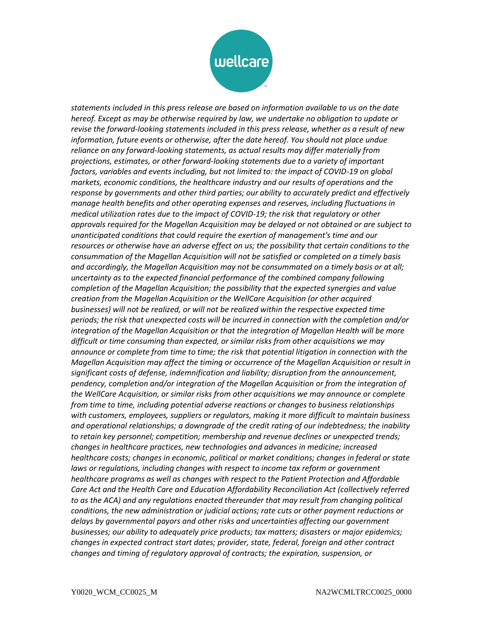

*statements included in this press release are based on information available to us on the date hereof. Except as may be otherwise required by law, we undertake no obligation to update or revise the forward-looking statements included in this press release, whether as a result of new information, future events or otherwise, after the date hereof. You should not place undue reliance on any forward-looking statements, as actual results may differ materially from projections, estimates, or other forward-looking statements due to a variety of important factors, variables and events including, but not limited to: the impact of COVID-19 on global markets, economic conditions, the healthcare industry and our results of operations and the response by governments and other third parties; our ability to accurately predict and effectively manage health benefits and other operating expenses and reserves, including fluctuations in medical utilization rates due to the impact of COVID-19; the risk that regulatory or other approvals required for the Magellan Acquisition may be delayed or not obtained or are subject to unanticipated conditions that could require the exertion of management's time and our resources or otherwise have an adverse effect on us; the possibility that certain conditions to the consummation of the Magellan Acquisition will not be satisfied or completed on a timely basis and accordingly, the Magellan Acquisition may not be consummated on a timely basis or at all; uncertainty as to the expected financial performance of the combined company following completion of the Magellan Acquisition; the possibility that the expected synergies and value creation from the Magellan Acquisition or the WellCare Acquisition (or other acquired businesses) will not be realized, or will not be realized within the respective expected time periods; the risk that unexpected costs will be incurred in connection with the completion and/or integration of the Magellan Acquisition or that the integration of Magellan Health will be more difficult or time consuming than expected, or similar risks from other acquisitions we may announce or complete from time to time; the risk that potential litigation in connection with the Magellan Acquisition may affect the timing or occurrence of the Magellan Acquisition or result in significant costs of defense, indemnification and liability; disruption from the announcement, pendency, completion and/or integration of the Magellan Acquisition or from the integration of the WellCare Acquisition, or similar risks from other acquisitions we may announce or complete from time to time, including potential adverse reactions or changes to business relationships with customers, employees, suppliers or regulators, making it more difficult to maintain business and operational relationships; a downgrade of the credit rating of our indebtedness; the inability to retain key personnel; competition; membership and revenue declines or unexpected trends; changes in healthcare practices, new technologies and advances in medicine; increased healthcare costs; changes in economic, political or market conditions; changes in federal or state laws or regulations, including changes with respect to income tax reform or government healthcare programs as well as changes with respect to the Patient Protection and Affordable Care Act and the Health Care and Education Affordability Reconciliation Act (collectively referred*  to as the ACA) and any regulations enacted thereunder that may result from changing political *conditions, the new administration or judicial actions; rate cuts or other payment reductions or delays by governmental payors and other risks and uncertainties affecting our government businesses; our ability to adequately price products; tax matters; disasters or major epidemics; changes in expected contract start dates; provider, state, federal, foreign and other contract changes and timing of regulatory approval of contracts; the expiration, suspension, or*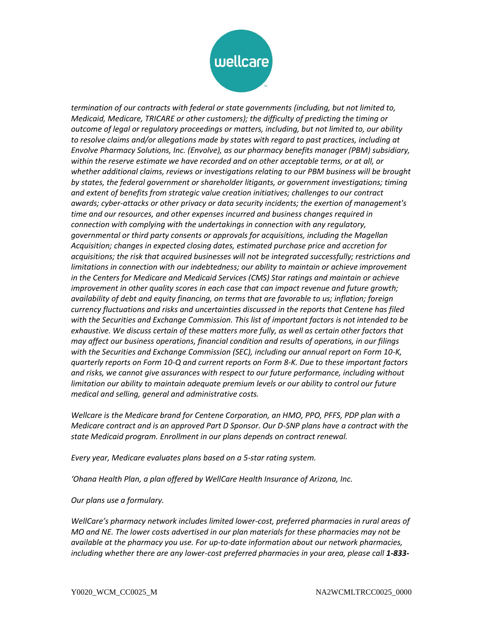

*termination of our contracts with federal or state governments (including, but not limited to, Medicaid, Medicare, TRICARE or other customers); the difficulty of predicting the timing or outcome of legal or regulatory proceedings or matters, including, but not limited to, our ability to resolve claims and/or allegations made by states with regard to past practices, including at Envolve Pharmacy Solutions, Inc. (Envolve), as our pharmacy benefits manager (PBM) subsidiary, within the reserve estimate we have recorded and on other acceptable terms, or at all, or whether additional claims, reviews or investigations relating to our PBM business will be brought by states, the federal government or shareholder litigants, or government investigations; timing and extent of benefits from strategic value creation initiatives; challenges to our contract awards; cyber-attacks or other privacy or data security incidents; the exertion of management's time and our resources, and other expenses incurred and business changes required in connection with complying with the undertakings in connection with any regulatory, governmental or third party consents or approvals for acquisitions, including the Magellan Acquisition; changes in expected closing dates, estimated purchase price and accretion for acquisitions; the risk that acquired businesses will not be integrated successfully; restrictions and limitations in connection with our indebtedness; our ability to maintain or achieve improvement in the Centers for Medicare and Medicaid Services (CMS) Star ratings and maintain or achieve improvement in other quality scores in each case that can impact revenue and future growth; availability of debt and equity financing, on terms that are favorable to us; inflation; foreign currency fluctuations and risks and uncertainties discussed in the reports that Centene has filed with the Securities and Exchange Commission. This list of important factors is not intended to be exhaustive. We discuss certain of these matters more fully, as well as certain other factors that may affect our business operations, financial condition and results of operations, in our filings with the Securities and Exchange Commission (SEC), including our annual report on Form 10-K, quarterly reports on Form 10-Q and current reports on Form 8-K. Due to these important factors and risks, we cannot give assurances with respect to our future performance, including without limitation our ability to maintain adequate premium levels or our ability to control our future medical and selling, general and administrative costs.*

*Wellcare is the Medicare brand for Centene Corporation, an HMO, PPO, PFFS, PDP plan with a Medicare contract and is an approved Part D Sponsor. Our D-SNP plans have a contract with the state Medicaid program. Enrollment in our plans depends on contract renewal.*

*Every year, Medicare evaluates plans based on a 5-star rating system.*

*'Ohana Health Plan, a plan offered by WellCare Health Insurance of Arizona, Inc.*

*Our plans use a formulary.*

*WellCare's pharmacy network includes limited lower-cost, preferred pharmacies in rural areas of MO and NE. The lower costs advertised in our plan materials for these pharmacies may not be available at the pharmacy you use. For up-to-date information about our network pharmacies, including whether there are any lower-cost preferred pharmacies in your area, please call 1-833-*